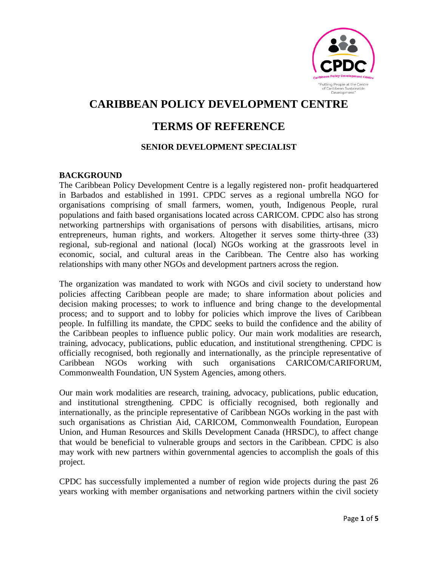

# **CARIBBEAN POLICY DEVELOPMENT CENTRE**

# **TERMS OF REFERENCE**

## **SENIOR DEVELOPMENT SPECIALIST**

#### **BACKGROUND**

The Caribbean Policy Development Centre is a legally registered non- profit headquartered in Barbados and established in 1991. CPDC serves as a regional umbrella NGO for organisations comprising of small farmers, women, youth, Indigenous People, rural populations and faith based organisations located across CARICOM. CPDC also has strong networking partnerships with organisations of persons with disabilities, artisans, micro entrepreneurs, human rights, and workers. Altogether it serves some thirty-three (33) regional, sub-regional and national (local) NGOs working at the grassroots level in economic, social, and cultural areas in the Caribbean. The Centre also has working relationships with many other NGOs and development partners across the region.

The organization was mandated to work with NGOs and civil society to understand how policies affecting Caribbean people are made; to share information about policies and decision making processes; to work to influence and bring change to the developmental process; and to support and to lobby for policies which improve the lives of Caribbean people. In fulfilling its mandate, the CPDC seeks to build the confidence and the ability of the Caribbean peoples to influence public policy. Our main work modalities are research, training, advocacy, publications, public education, and institutional strengthening. CPDC is officially recognised, both regionally and internationally, as the principle representative of Caribbean NGOs working with such organisations CARICOM/CARIFORUM, Commonwealth Foundation, UN System Agencies, among others.

Our main work modalities are research, training, advocacy, publications, public education, and institutional strengthening. CPDC is officially recognised, both regionally and internationally, as the principle representative of Caribbean NGOs working in the past with such organisations as Christian Aid, CARICOM, Commonwealth Foundation, European Union, and Human Resources and Skills Development Canada (HRSDC), to affect change that would be beneficial to vulnerable groups and sectors in the Caribbean. CPDC is also may work with new partners within governmental agencies to accomplish the goals of this project.

CPDC has successfully implemented a number of region wide projects during the past 26 years working with member organisations and networking partners within the civil society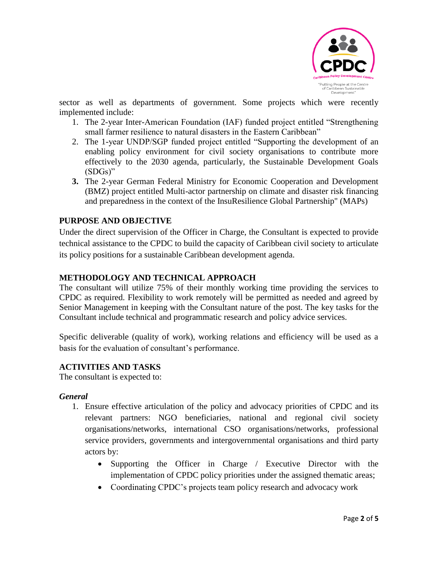

sector as well as departments of government. Some projects which were recently implemented include:

- 1. The 2-year Inter-American Foundation (IAF) funded project entitled "Strengthening small farmer resilience to natural disasters in the Eastern Caribbean"
- 2. The 1-year UNDP/SGP funded project entitled "Supporting the development of an enabling policy environment for civil society organisations to contribute more effectively to the 2030 agenda, particularly, the Sustainable Development Goals (SDGs)"
- **3.** The 2-year German Federal Ministry for Economic Cooperation and Development (BMZ) project entitled Multi-actor partnership on climate and disaster risk financing and preparedness in the context of the InsuResilience Global Partnership" (MAPs)

## **PURPOSE AND OBJECTIVE**

Under the direct supervision of the Officer in Charge, the Consultant is expected to provide technical assistance to the CPDC to build the capacity of Caribbean civil society to articulate its policy positions for a sustainable Caribbean development agenda.

## **METHODOLOGY AND TECHNICAL APPROACH**

The consultant will utilize 75% of their monthly working time providing the services to CPDC as required. Flexibility to work remotely will be permitted as needed and agreed by Senior Management in keeping with the Consultant nature of the post. The key tasks for the Consultant include technical and programmatic research and policy advice services.

Specific deliverable (quality of work), working relations and efficiency will be used as a basis for the evaluation of consultant's performance.

#### **ACTIVITIES AND TASKS**

The consultant is expected to:

#### *General*

- 1. Ensure effective articulation of the policy and advocacy priorities of CPDC and its relevant partners: NGO beneficiaries, national and regional civil society organisations/networks, international CSO organisations/networks, professional service providers, governments and intergovernmental organisations and third party actors by:
	- Supporting the Officer in Charge / Executive Director with the implementation of CPDC policy priorities under the assigned thematic areas;
	- Coordinating CPDC's projects team policy research and advocacy work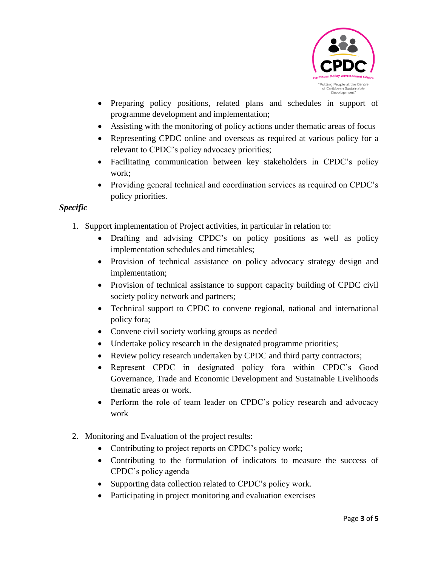

- Preparing policy positions, related plans and schedules in support of programme development and implementation;
- Assisting with the monitoring of policy actions under thematic areas of focus
- Representing CPDC online and overseas as required at various policy for a relevant to CPDC's policy advocacy priorities;
- Facilitating communication between key stakeholders in CPDC's policy work;
- Providing general technical and coordination services as required on CPDC's policy priorities.

# *Specific*

- 1. Support implementation of Project activities, in particular in relation to:
	- Drafting and advising CPDC's on policy positions as well as policy implementation schedules and timetables;
	- Provision of technical assistance on policy advocacy strategy design and implementation;
	- Provision of technical assistance to support capacity building of CPDC civil society policy network and partners;
	- Technical support to CPDC to convene regional, national and international policy fora;
	- Convene civil society working groups as needed
	- Undertake policy research in the designated programme priorities;
	- Review policy research undertaken by CPDC and third party contractors;
	- Represent CPDC in designated policy fora within CPDC's Good Governance, Trade and Economic Development and Sustainable Livelihoods thematic areas or work.
	- Perform the role of team leader on CPDC's policy research and advocacy work
- 2. Monitoring and Evaluation of the project results:
	- Contributing to project reports on CPDC's policy work;
	- Contributing to the formulation of indicators to measure the success of CPDC's policy agenda
	- Supporting data collection related to CPDC's policy work.
	- Participating in project monitoring and evaluation exercises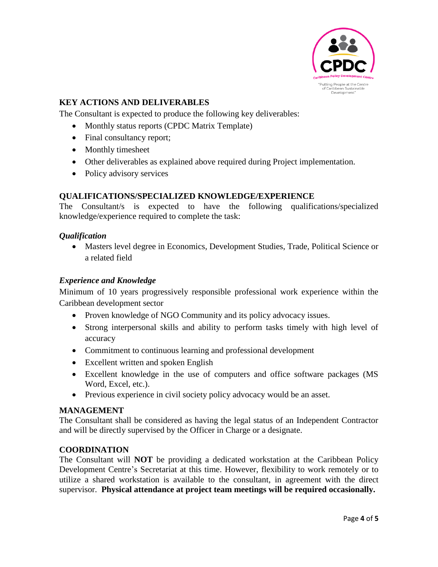

# **KEY ACTIONS AND DELIVERABLES**

The Consultant is expected to produce the following key deliverables:

- Monthly status reports (CPDC Matrix Template)
- Final consultancy report;
- Monthly timesheet
- Other deliverables as explained above required during Project implementation.
- Policy advisory services

## **QUALIFICATIONS/SPECIALIZED KNOWLEDGE/EXPERIENCE**

The Consultant/s is expected to have the following qualifications/specialized knowledge/experience required to complete the task:

#### *Qualification*

• Masters level degree in Economics, Development Studies, Trade, Political Science or a related field

# *Experience and Knowledge*

Minimum of 10 years progressively responsible professional work experience within the Caribbean development sector

- Proven knowledge of NGO Community and its policy advocacy issues.
- Strong interpersonal skills and ability to perform tasks timely with high level of accuracy
- Commitment to continuous learning and professional development
- Excellent written and spoken English
- Excellent knowledge in the use of computers and office software packages (MS Word, Excel, etc.).
- Previous experience in civil society policy advocacy would be an asset.

#### **MANAGEMENT**

The Consultant shall be considered as having the legal status of an Independent Contractor and will be directly supervised by the Officer in Charge or a designate.

## **COORDINATION**

The Consultant will **NOT** be providing a dedicated workstation at the Caribbean Policy Development Centre's Secretariat at this time. However, flexibility to work remotely or to utilize a shared workstation is available to the consultant, in agreement with the direct supervisor. **Physical attendance at project team meetings will be required occasionally.**